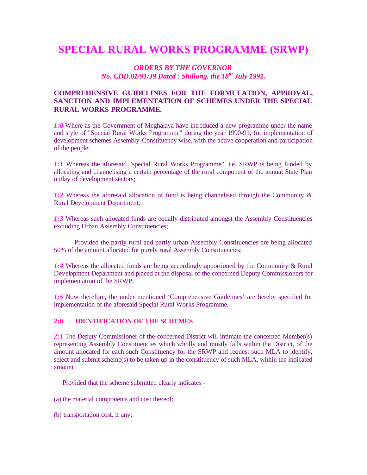# **SPECIAL RURAL WORKS PROGRAMME (SRWP)**

# *ORDERS BY THE GOVERNOR No. CDD.81/91/39 Dated : Shillong, the 18th July 1991.*

# **COMPREHENSIVE GUIDELINES FOR THE FORMULATION, APPROVAL, SANCTION AND IMPLEMENTATION OF SCHEMES UNDER THE SPECIAL RURAL WORKS PROGRAMME.**

*1:0* Where as the Government of Meghalaya have introduced a new programme under the name and style of "Special Rural Works Programme" during the year 1990-91, for implementation of development schemes Assembly-Constituency wise, with the active cooperation and participation of the people;

*1:1* Whereas the aforesaid "special Rural Works Programme", i.e. SRWP is being funded by allocating and channelising a certain percentage of the rural component of the annual State Plan outlay of development sectors;

*1:2* Whereas the aforesaid allocation of fund is being channelised through the Community & Rural Development Department;

1:3 Whereas such allocated funds are equally distributed amongst the Assembly Constituencies excluding Urban Assembly Constituencies;

 Provided the partly rural and partly urban Assembly Constituencies are being allocated 50% of the amount allocated for purely rural Assembly Constituencies;

*1:4* Whereas the allocated funds are being accordingly apportioned by the Community & Rural Development Department and placed at the disposal of the concerned Deputy Commissioners for implementation of the SRWP;

*1:5* Now therefore, the under mentioned 'Comprehensive Guidelines' are hereby specified for implementation of the aforesaid Special Rural Works Programme.

#### **2:0 IDENTIFICATION OF THE SCHEMES**

2:1 The Deputy Commissioner of the concerned District will intimate the concerned Member(s) representing Assembly Constituencies which wholly and mostly falls within the District, of the amount allocated for each such Constituency for the SRWP and request such MLA to identify, select and submit scheme(s) to be taken up in the constituency of such MLA, within the indicated amount.

Provided that the scheme submitted clearly indicates -

- (a) the material components and cost thereof;
- (b) transportation cost, if any;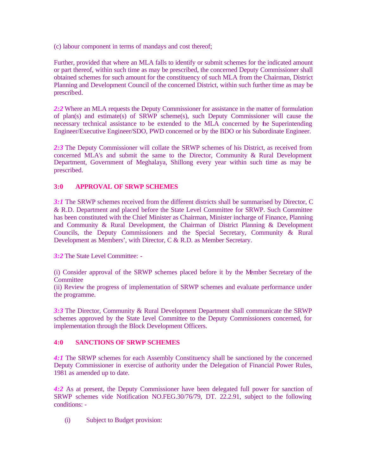(c) labour component in terms of mandays and cost thereof;

Further, provided that where an MLA falls to identify or submit schemes for the indicated amount or part thereof, within such time as may be prescribed, the concerned Deputy Commissioner shall obtained schemes for such amount for the constituency of such MLA from the Chairman, District Planning and Development Council of the concerned District, within such further time as may be prescribed.

*2:2* Where an MLA requests the Deputy Commissioner for assistance in the matter of formulation of plan(s) and estimate(s) of SRWP scheme(s), such Deputy Commissioner will cause the necessary technical assistance to be extended to the MLA concerned by the Superintending Engineer/Executive Engineer/SDO, PWD concerned or by the BDO or his Subordinate Engineer.

*2:3* The Deputy Commissioner will collate the SRWP schemes of his District, as received from concerned MLA's and submit the same to the Director, Community & Rural Development Department, Government of Meghalaya, Shillong every year within such time as may be prescribed.

# **3:0 APPROVAL OF SRWP SCHEMES**

*3:1* The SRWP schemes received from the different districts shall be summarised by Director, C & R.D. Department and placed before the State Level Committee for SRWP. Such Committee has been constituted with the Chief Minister as Chairman, Minister incharge of Finance, Planning and Community & Rural Development, the Chairman of District Planning & Development Councils, the Deputy Commissioners and the Special Secretary, Community & Rural Development as Members', with Director, C & R.D. as Member Secretary.

*3:2* The State Level Committee: -

(i) Consider approval of the SRWP schemes placed before it by the Member Secretary of the **Committee** 

(ii) Review the progress of implementation of SRWP schemes and evaluate performance under the programme.

*3:3* The Director, Community & Rural Development Department shall communicate the SRWP schemes approved by the State Level Committee to the Deputy Commissioners concerned, for implementation through the Block Development Officers.

### **4:0 SANCTIONS OF SRWP SCHEMES**

*4:1* The SRWP schemes for each Assembly Constituency shall be sanctioned by the concerned Deputy Commissioner in exercise of authority under the Delegation of Financial Power Rules, 1981 as amended up to date.

*4:2* As at present, the Deputy Commissioner have been delegated full power for sanction of SRWP schemes vide Notification NO.FEG.30/76/79, DT. 22.2.91, subject to the following conditions: -

(i) Subject to Budget provision: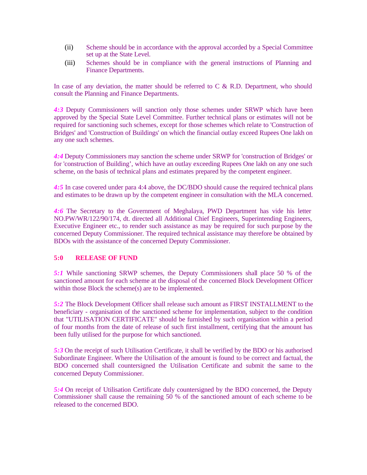- (ii) Scheme should be in accordance with the approval accorded by a Special Committee set up at the State Level.
- (iii) Schemes should be in compliance with the general instructions of Planning and Finance Departments.

In case of any deviation, the matter should be referred to  $C \& R.D$ . Department, who should consult the Planning and Finance Departments.

*4:3* Deputy Commissioners will sanction only those schemes under SRWP which have been approved by the Special State Level Committee. Further technical plans or estimates will not be required for sanctioning such schemes, except for those schemes which relate to 'Construction of Bridges' and 'Construction of Buildings' on which the financial outlay exceed Rupees One lakh on any one such schemes.

*4:4* Deputy Commissioners may sanction the scheme under SRWP for 'construction of Bridges' or for 'construction of Building', which have an outlay exceeding Rupees One lakh on any one such scheme, on the basis of technical plans and estimates prepared by the competent engineer.

*4:5* In case covered under para 4:4 above, the DC/BDO should cause the required technical plans and estimates to be drawn up by the competent engineer in consultation with the MLA concerned.

*4:6* The Secretary to the Government of Meghalaya, PWD Department has vide his letter NO.PW/WR/122/90/174, dt. directed all Additional Chief Engineers, Superintending Engineers, Executive Engineer etc., to render such assistance as may be required for such purpose by the concerned Deputy Commissioner. The required technical assistance may therefore be obtained by BDOs with the assistance of the concerned Deputy Commissioner.

#### **5:0 RELEASE OF FUND**

*5:1* While sanctioning SRWP schemes, the Deputy Commissioners shall place 50 % of the sanctioned amount for each scheme at the disposal of the concerned Block Development Officer within those Block the scheme(s) are to be implemented.

*5:2* The Block Development Officer shall release such amount as FIRST INSTALLMENT to the beneficiary - organisation of the sanctioned scheme for implementation, subject to the condition that "UTILISATION CERTIFICATE" should be furnished by such organisation within a period of four months from the date of release of such first installment, certifying that the amount has been fully utilised for the purpose for which sanctioned.

*5:3* On the receipt of such Utilisation Certificate, it shall be verified by the BDO or his authorised Subordinate Engineer. Where the Utilisation of the amount is found to be correct and factual, the BDO concerned shall countersigned the Utilisation Certificate and submit the same to the concerned Deputy Commissioner.

*5:4* On receipt of Utilisation Certificate duly countersigned by the BDO concerned, the Deputy Commissioner shall cause the remaining 50 % of the sanctioned amount of each scheme to be released to the concerned BDO.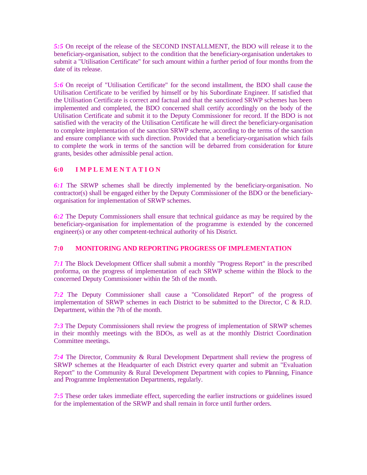*5:5* On receipt of the release of the SECOND INSTALLMENT, the BDO will release it to the beneficiary-organisation, subject to the condition that the beneficiary-organisation undertakes to submit a "Utilisation Certificate" for such amount within a further period of four months from the date of its release.

*5:6* On receipt of "Utilisation Certificate" for the second installment, the BDO shall cause the Utilisation Certificate to be verified by himself or by his Subordinate Engineer. If satisfied that the Utilisation Certificate is correct and factual and that the sanctioned SRWP schemes has been implemented and completed, the BDO concerned shall certify accordingly on the body of the Utilisation Certificate and submit it to the Deputy Commissioner for record. If the BDO is not satisfied with the veracity of the Utilisation Certificate he will direct the beneficiary-organisation to complete implementation of the sanction SRWP scheme, according to the terms of the sanction and ensure compliance with such direction. Provided that a beneficiary-organisation which fails to complete the work in terms of the sanction will be debarred from consideration for future grants, besides other admissible penal action.

# **6:0 I M P L E M E N T A T I O N**

*6:1* The SRWP schemes shall be directly implemented by the beneficiary-organisation. No contractor(s) shall be engaged either by the Deputy Commissioner of the BDO or the beneficiaryorganisation for implementation of SRWP schemes.

*6:2* The Deputy Commissioners shall ensure that technical guidance as may be required by the beneficiary-organisation for implementation of the programme is extended by the concerned engineer(s) or any other competent-technical authority of his District.

### **7:0 MONITORING AND REPORTING PROGRESS OF IMPLEMENTATION**

*7:1* The Block Development Officer shall submit a monthly "Progress Report" in the prescribed proforma, on the progress of implementation of each SRWP scheme within the Block to the concerned Deputy Commissioner within the 5th of the month.

*7:2* The Deputy Commissioner shall cause a "Consolidated Report" of the progress of implementation of SRWP schemes in each District to be submitted to the Director,  $C \& R.D.$ Department, within the 7th of the month.

*7:3* The Deputy Commissioners shall review the progress of implementation of SRWP schemes in their monthly meetings with the BDOs, as well as at the monthly District Coordination Committee meetings.

*7:4* The Director, Community & Rural Development Department shall review the progress of SRWP schemes at the Headquarter of each District every quarter and submit an "Evaluation Report" to the Community & Rural Development Department with copies to Planning, Finance and Programme Implementation Departments, regularly.

*7:5* These order takes immediate effect, superceding the earlier instructions or guidelines issued for the implementation of the SRWP and shall remain in force until further orders.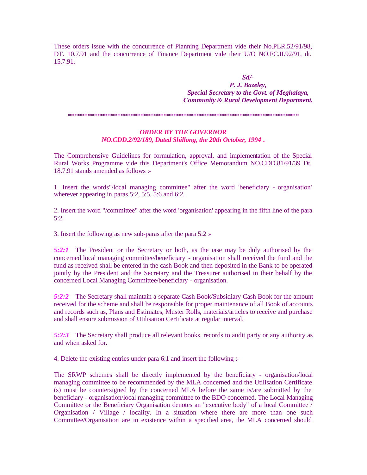These orders issue with the concurrence of Planning Department vide their No.PLR.52/91/98, DT. 10.7.91 and the concurrence of Finance Department vide their U/O NO.FC.II.92/91, dt. 15.7.91.

*Sd/-*

*P. J. Bazeley, Special Secretary to the Govt. of Meghalaya, Community & Rural Development Department.*

\*\*\*\*\*\*\*\*\*\*\*\*\*\*\*\*\*\*\*\*\*\*\*\*\*\*\*\*\*\*\*\*\*\*\*\*\*\*\*\*\*\*\*\*\*\*\*\*\*\*\*\*\*\*\*\*\*\*\*\*\*\*\*\*\*\*\*\*\*\*

#### *ORDER BY THE GOVERNOR NO.CDD.2/92/189, Dated Shillong, the 20th October, 1994 .*

The Comprehensive Guidelines for formulation, approval, and implementation of the Special Rural Works Programme vide this Department's Office Memorandum NO.CDD.81/91/39 Dt. 18.7.91 stands amended as follows :-

1. Insert the words"/local managing committee" after the word 'beneficiary - organisation' wherever appearing in paras 5:2, 5:5, 5:6 and 6:2.

2. Insert the word "/committee" after the word 'organisation' appearing in the fifth line of the para 5:2.

3. Insert the following as new sub-paras after the para  $5:2$ :

*5:2:1* The President or the Secretary or both, as the case may be duly authorised by the concerned local managing committee/beneficiary - organisation shall received the fund and the fund as received shall be entered in the cash Book and then deposited in the Bank to be operated jointly by the President and the Secretary and the Treasurer authorised in their behalf by the concerned Local Managing Committee/beneficiary - organisation.

*5:2:2* The Secretary shall maintain a separate Cash Book/Subsidiary Cash Book for the amount received for the scheme and shall be responsible for proper maintenance of all Book of accounts and records such as, Plans and Estimates, Muster Rolls, materials/articles to receive and purchase and shall ensure submission of Utilisation Certificate at regular interval.

*5:2:3* The Secretary shall produce all relevant books, records to audit party or any authority as and when asked for.

4. Delete the existing entries under para 6:1 and insert the following :-

The SRWP schemes shall be directly implemented by the beneficiary - organisation/local managing committee to be recommended by the MLA concerned and the Utilisation Certificate (s) must be countersigned by the concerned MLA before the same is/are submitted by the beneficiary - organisation/local managing committee to the BDO concerned. The Local Managing Committee or the Beneficiary Organisation denotes an "executive body" of a local Committee / Organisation / Village / locality. In a situation where there are more than one such Committee/Organisation are in existence within a specified area, the MLA concerned should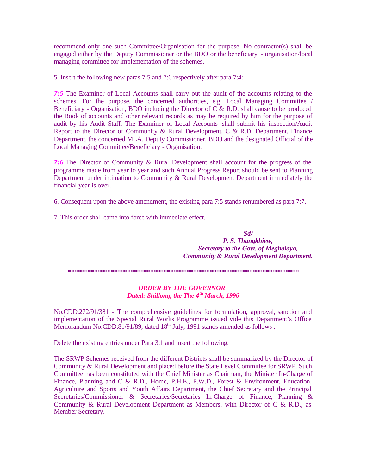recommend only one such Committee/Organisation for the purpose. No contractor(s) shall be engaged either by the Deputy Commissioner or the BDO or the beneficiary - organisation/local managing committee for implementation of the schemes.

5. Insert the following new paras 7:5 and 7:6 respectively after para 7:4:

*7:5* The Examiner of Local Accounts shall carry out the audit of the accounts relating to the schemes. For the purpose, the concerned authorities, e.g. Local Managing Committee / Beneficiary - Organisation, BDO including the Director of C & R.D. shall cause to be produced the Book of accounts and other relevant records as may be required by him for the purpose of audit by his Audit Staff. The Examiner of Local Accounts shall submit his inspection/Audit Report to the Director of Community & Rural Development, C & R.D. Department, Finance Department, the concerned MLA, Deputy Commissioner, BDO and the designated Official of the Local Managing Committee/Beneficiary - Organisation.

*7:6* The Director of Community & Rural Development shall account for the progress of the programme made from year to year and such Annual Progress Report should be sent to Planning Department under intimation to Community & Rural Development Department immediately the financial year is over.

6. Consequent upon the above amendment, the existing para 7:5 stands renumbered as para 7:7.

7. This order shall came into force with immediate effect.

*Sd/ P. S. Thangkhiew, Secretary to the Govt. of Meghalaya, Community & Rural Development Department.*

\*\*\*\*\*\*\*\*\*\*\*\*\*\*\*\*\*\*\*\*\*\*\*\*\*\*\*\*\*\*\*\*\*\*\*\*\*\*\*\*\*\*\*\*\*\*\*\*\*\*\*\*\*\*\*\*\*\*\*\*\*\*\*\*\*\*\*\*\*\*

#### *ORDER BY THE GOVERNOR Dated: Shillong, the The 4th March, 1996*

No.CDD.272/91/381 - The comprehensive guidelines for formulation, approval, sanction and implementation of the Special Rural Works Programme issued vide this Department's Office Memorandum No.CDD.81/91/89, dated  $18<sup>th</sup>$  July, 1991 stands amended as follows :-

Delete the existing entries under Para 3:1 and insert the following.

The SRWP Schemes received from the different Districts shall be summarized by the Director of Community & Rural Development and placed before the State Level Committee for SRWP. Such Committee has been constituted with the Chief Minister as Chairman, the Minister In-Charge of Finance, Planning and C & R.D., Home, P.H.E., P.W.D., Forest & Environment, Education, Agriculture and Sports and Youth Affairs Department, the Chief Secretary and the Principal Secretaries/Commissioner & Secretaries/Secretaries In-Charge of Finance, Planning & Community & Rural Development Department as Members, with Director of C & R.D., as Member Secretary.